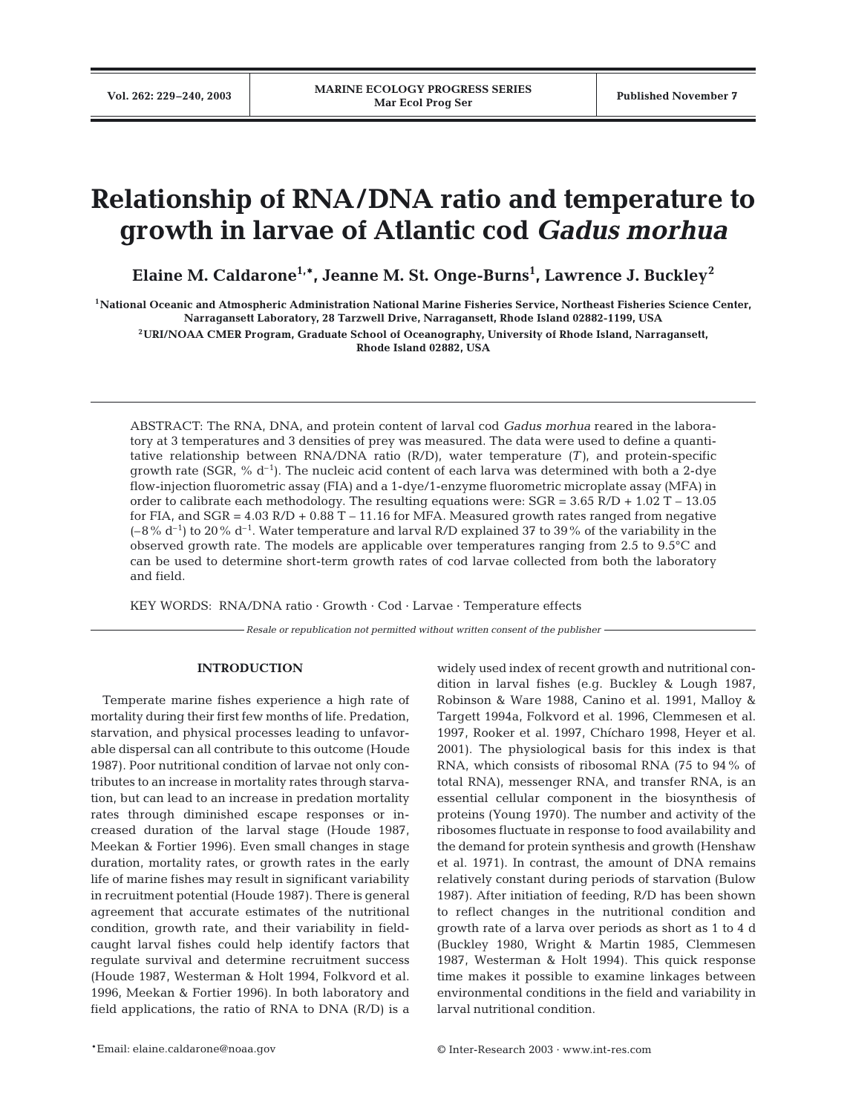# **Relationship of RNA/DNA ratio and temperature to growth in larvae of Atlantic cod** *Gadus morhua*

**Elaine M. Caldarone1,\*, Jeanne M. St. Onge-Burns1 , Lawrence J. Buckley<sup>2</sup>**

**1National Oceanic and Atmospheric Administration National Marine Fisheries Service, Northeast Fisheries Science Center, Narragansett Laboratory, 28 Tarzwell Drive, Narragansett, Rhode Island 02882-1199, USA**

**2URI/NOAA CMER Program, Graduate School of Oceanography, University of Rhode Island, Narragansett, Rhode Island 02882, USA**

ABSTRACT: The RNA, DNA, and protein content of larval cod *Gadus morhua* reared in the laboratory at 3 temperatures and 3 densities of prey was measured. The data were used to define a quantitative relationship between RNA/DNA ratio (R/D), water temperature *(T)*, and protein-specific growth rate (SGR,  $% d^{-1}$ ). The nucleic acid content of each larva was determined with both a 2-dye flow-injection fluorometric assay (FIA) and a 1-dye/1-enzyme fluorometric microplate assay (MFA) in order to calibrate each methodology. The resulting equations were:  $SGR = 3.65 R/D + 1.02 T - 13.05$ for FIA, and  $SGR = 4.03$  R/D + 0.88 T – 11.16 for MFA. Measured growth rates ranged from negative  $(-8\% d^{-1})$  to 20% d<sup>-1</sup>. Water temperature and larval R/D explained 37 to 39% of the variability in the observed growth rate. The models are applicable over temperatures ranging from 2.5 to 9.5°C and can be used to determine short-term growth rates of cod larvae collected from both the laboratory and field.

KEY WORDS: RNA/DNA ratio · Growth · Cod · Larvae · Temperature effects

*Resale or republication not permitted without written consent of the publisher*

#### **INTRODUCTION**

Temperate marine fishes experience a high rate of mortality during their first few months of life. Predation, starvation, and physical processes leading to unfavorable dispersal can all contribute to this outcome (Houde 1987). Poor nutritional condition of larvae not only contributes to an increase in mortality rates through starvation, but can lead to an increase in predation mortality rates through diminished escape responses or increased duration of the larval stage (Houde 1987, Meekan & Fortier 1996). Even small changes in stage duration, mortality rates, or growth rates in the early life of marine fishes may result in significant variability in recruitment potential (Houde 1987). There is general agreement that accurate estimates of the nutritional condition, growth rate, and their variability in fieldcaught larval fishes could help identify factors that regulate survival and determine recruitment success (Houde 1987, Westerman & Holt 1994, Folkvord et al. 1996, Meekan & Fortier 1996). In both laboratory and field applications, the ratio of RNA to DNA (R/D) is a widely used index of recent growth and nutritional condition in larval fishes (e.g. Buckley & Lough 1987, Robinson & Ware 1988, Canino et al. 1991, Malloy & Targett 1994a, Folkvord et al. 1996, Clemmesen et al. 1997, Rooker et al. 1997, Chícharo 1998, Heyer et al. 2001). The physiological basis for this index is that RNA, which consists of ribosomal RNA (75 to 94% of total RNA), messenger RNA, and transfer RNA, is an essential cellular component in the biosynthesis of proteins (Young 1970). The number and activity of the ribosomes fluctuate in response to food availability and the demand for protein synthesis and growth (Henshaw et al. 1971). In contrast, the amount of DNA remains relatively constant during periods of starvation (Bulow 1987). After initiation of feeding, R/D has been shown to reflect changes in the nutritional condition and growth rate of a larva over periods as short as 1 to 4 d (Buckley 1980, Wright & Martin 1985, Clemmesen 1987, Westerman & Holt 1994). This quick response time makes it possible to examine linkages between environmental conditions in the field and variability in larval nutritional condition.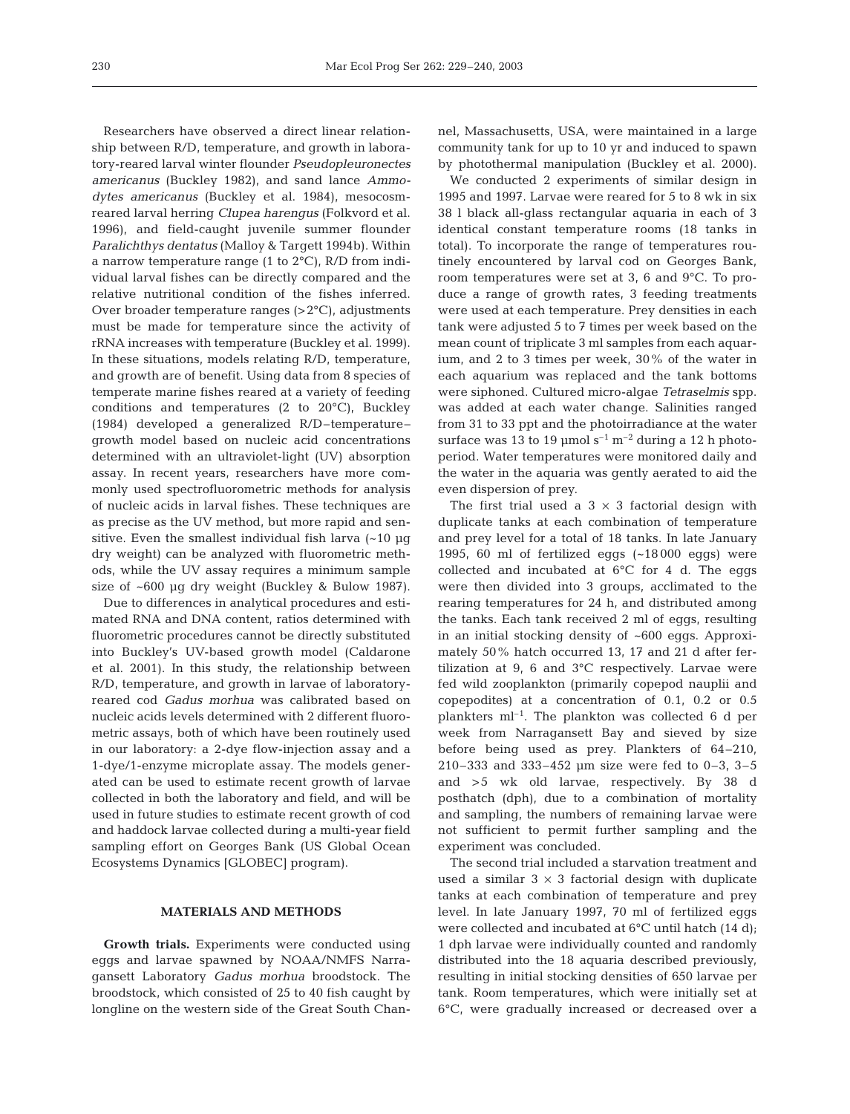Researchers have observed a direct linear relationship between R/D, temperature, and growth in laboratory-reared larval winter flounder *Pseudopleuronectes americanus* (Buckley 1982), and sand lance *Ammodytes americanus* (Buckley et al. 1984), mesocosmreared larval herring *Clupea harengus* (Folkvord et al. 1996), and field-caught juvenile summer flounder *Paralichthys dentatus* (Malloy & Targett 1994b). Within a narrow temperature range (1 to 2°C), R/D from individual larval fishes can be directly compared and the relative nutritional condition of the fishes inferred. Over broader temperature ranges (>2°C), adjustments must be made for temperature since the activity of rRNA increases with temperature (Buckley et al. 1999). In these situations, models relating R/D, temperature, and growth are of benefit. Using data from 8 species of temperate marine fishes reared at a variety of feeding conditions and temperatures (2 to 20°C), Buckley (1984) developed a generalized R/D–temperature– growth model based on nucleic acid concentrations determined with an ultraviolet-light (UV) absorption assay. In recent years, researchers have more commonly used spectrofluorometric methods for analysis of nucleic acids in larval fishes. These techniques are as precise as the UV method, but more rapid and sensitive. Even the smallest individual fish larva  $(-10 \mu g)$ dry weight) can be analyzed with fluorometric methods, while the UV assay requires a minimum sample size of ~600 µg dry weight (Buckley & Bulow 1987).

Due to differences in analytical procedures and estimated RNA and DNA content, ratios determined with fluorometric procedures cannot be directly substituted into Buckley's UV-based growth model (Caldarone et al. 2001). In this study, the relationship between R/D, temperature, and growth in larvae of laboratoryreared cod *Gadus morhua* was calibrated based on nucleic acids levels determined with 2 different fluorometric assays, both of which have been routinely used in our laboratory: a 2-dye flow-injection assay and a 1-dye/1-enzyme microplate assay. The models generated can be used to estimate recent growth of larvae collected in both the laboratory and field, and will be used in future studies to estimate recent growth of cod and haddock larvae collected during a multi-year field sampling effort on Georges Bank (US Global Ocean Ecosystems Dynamics [GLOBEC] program).

## **MATERIALS AND METHODS**

**Growth trials.** Experiments were conducted using eggs and larvae spawned by NOAA/NMFS Narragansett Laboratory *Gadus morhua* broodstock. The broodstock, which consisted of 25 to 40 fish caught by longline on the western side of the Great South Channel, Massachusetts, USA, were maintained in a large community tank for up to 10 yr and induced to spawn by photothermal manipulation (Buckley et al. 2000).

We conducted 2 experiments of similar design in 1995 and 1997. Larvae were reared for 5 to 8 wk in six 38 l black all-glass rectangular aquaria in each of 3 identical constant temperature rooms (18 tanks in total). To incorporate the range of temperatures routinely encountered by larval cod on Georges Bank, room temperatures were set at 3, 6 and 9°C. To produce a range of growth rates, 3 feeding treatments were used at each temperature. Prey densities in each tank were adjusted 5 to 7 times per week based on the mean count of triplicate 3 ml samples from each aquarium, and 2 to 3 times per week, 30% of the water in each aquarium was replaced and the tank bottoms were siphoned. Cultured micro-algae *Tetraselmis* spp. was added at each water change. Salinities ranged from 31 to 33 ppt and the photoirradiance at the water surface was 13 to 19  $\mu$ mol s<sup>-1</sup> m<sup>-2</sup> during a 12 h photoperiod. Water temperatures were monitored daily and the water in the aquaria was gently aerated to aid the even dispersion of prey.

The first trial used a  $3 \times 3$  factorial design with duplicate tanks at each combination of temperature and prey level for a total of 18 tanks. In late January 1995, 60 ml of fertilized eggs (~18 000 eggs) were collected and incubated at 6°C for 4 d. The eggs were then divided into 3 groups, acclimated to the rearing temperatures for 24 h, and distributed among the tanks. Each tank received 2 ml of eggs, resulting in an initial stocking density of ~600 eggs. Approximately 50% hatch occurred 13, 17 and 21 d after fertilization at 9, 6 and 3°C respectively. Larvae were fed wild zooplankton (primarily copepod nauplii and copepodites) at a concentration of 0.1, 0.2 or 0.5 plankters  $ml^{-1}$ . The plankton was collected 6 d per week from Narragansett Bay and sieved by size before being used as prey. Plankters of 64–210, 210–333 and 333–452 µm size were fed to 0–3, 3–5 and >5 wk old larvae, respectively. By 38 d posthatch (dph), due to a combination of mortality and sampling, the numbers of remaining larvae were not sufficient to permit further sampling and the experiment was concluded.

The second trial included a starvation treatment and used a similar  $3 \times 3$  factorial design with duplicate tanks at each combination of temperature and prey level. In late January 1997, 70 ml of fertilized eggs were collected and incubated at 6°C until hatch (14 d); 1 dph larvae were individually counted and randomly distributed into the 18 aquaria described previously, resulting in initial stocking densities of 650 larvae per tank. Room temperatures, which were initially set at 6°C, were gradually increased or decreased over a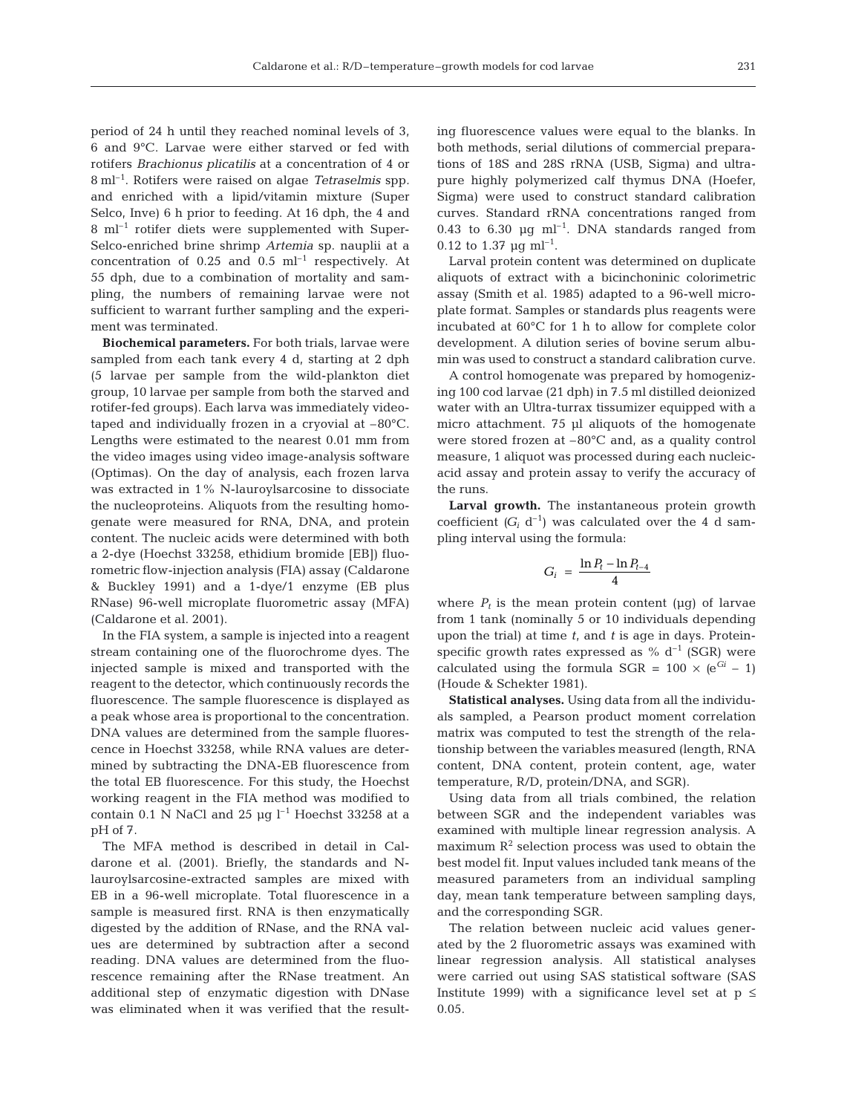period of 24 h until they reached nominal levels of 3, 6 and 9°C. Larvae were either starved or fed with rotifers *Brachionus plicatilis* at a concentration of 4 or 8 ml–1. Rotifers were raised on algae *Tetraselmis* spp*.* and enriched with a lipid/vitamin mixture (Super Selco, Inve) 6 h prior to feeding. At 16 dph, the 4 and 8 ml–1 rotifer diets were supplemented with Super-Selco-enriched brine shrimp *Artemia* sp. nauplii at a concentration of  $0.25$  and  $0.5$  ml<sup>-1</sup> respectively. At 55 dph, due to a combination of mortality and sampling, the numbers of remaining larvae were not sufficient to warrant further sampling and the experiment was terminated.

**Biochemical parameters.** For both trials, larvae were sampled from each tank every 4 d, starting at 2 dph (5 larvae per sample from the wild-plankton diet group, 10 larvae per sample from both the starved and rotifer-fed groups). Each larva was immediately videotaped and individually frozen in a cryovial at –80°C. Lengths were estimated to the nearest 0.01 mm from the video images using video image-analysis software (Optimas). On the day of analysis, each frozen larva was extracted in 1% N-lauroylsarcosine to dissociate the nucleoproteins. Aliquots from the resulting homogenate were measured for RNA, DNA, and protein content. The nucleic acids were determined with both a 2-dye (Hoechst 33258, ethidium bromide [EB]) fluorometric flow-injection analysis (FIA) assay (Caldarone & Buckley 1991) and a 1-dye/1 enzyme (EB plus RNase) 96-well microplate fluorometric assay (MFA) (Caldarone et al. 2001).

In the FIA system, a sample is injected into a reagent stream containing one of the fluorochrome dyes. The injected sample is mixed and transported with the reagent to the detector, which continuously records the fluorescence. The sample fluorescence is displayed as a peak whose area is proportional to the concentration. DNA values are determined from the sample fluorescence in Hoechst 33258, while RNA values are determined by subtracting the DNA-EB fluorescence from the total EB fluorescence. For this study, the Hoechst working reagent in the FIA method was modified to contain 0.1 N NaCl and 25  $\mu$ g l<sup>-1</sup> Hoechst 33258 at a pH of 7.

The MFA method is described in detail in Caldarone et al. (2001). Briefly, the standards and Nlauroylsarcosine-extracted samples are mixed with EB in a 96-well microplate. Total fluorescence in a sample is measured first. RNA is then enzymatically digested by the addition of RNase, and the RNA values are determined by subtraction after a second reading. DNA values are determined from the fluorescence remaining after the RNase treatment. An additional step of enzymatic digestion with DNase was eliminated when it was verified that the result-

ing fluorescence values were equal to the blanks. In both methods, serial dilutions of commercial preparations of 18S and 28S rRNA (USB, Sigma) and ultrapure highly polymerized calf thymus DNA (Hoefer, Sigma) were used to construct standard calibration curves. Standard rRNA concentrations ranged from 0.43 to 6.30  $\mu$ g ml<sup>-1</sup>. DNA standards ranged from 0.12 to 1.37  $\mu$ g ml<sup>-1</sup>.

Larval protein content was determined on duplicate aliquots of extract with a bicinchoninic colorimetric assay (Smith et al. 1985) adapted to a 96-well microplate format. Samples or standards plus reagents were incubated at 60°C for 1 h to allow for complete color development. A dilution series of bovine serum albumin was used to construct a standard calibration curve.

A control homogenate was prepared by homogenizing 100 cod larvae (21 dph) in 7.5 ml distilled deionized water with an Ultra-turrax tissumizer equipped with a micro attachment. 75 µl aliquots of the homogenate were stored frozen at –80°C and, as a quality control measure, 1 aliquot was processed during each nucleicacid assay and protein assay to verify the accuracy of the runs.

**Larval growth.** The instantaneous protein growth coefficient  $(G_i \, d^{-1})$  was calculated over the 4 d sampling interval using the formula:

$$
G_i = \frac{\ln P_t - \ln P_{t-4}}{4}
$$

where  $P_t$  is the mean protein content ( $\mu$ g) of larvae from 1 tank (nominally 5 or 10 individuals depending upon the trial) at time *t*, and *t* is age in days. Proteinspecific growth rates expressed as  $% d^{-1}$  (SGR) were calculated using the formula SGR =  $100 \times (e^{Gi} - 1)$ (Houde & Schekter 1981).

**Statistical analyses.** Using data from all the individuals sampled, a Pearson product moment correlation matrix was computed to test the strength of the relationship between the variables measured (length, RNA content, DNA content, protein content, age, water temperature, R/D, protein/DNA, and SGR).

Using data from all trials combined, the relation between SGR and the independent variables was examined with multiple linear regression analysis. A maximum  $R<sup>2</sup>$  selection process was used to obtain the best model fit. Input values included tank means of the measured parameters from an individual sampling day, mean tank temperature between sampling days, and the corresponding SGR.

The relation between nucleic acid values generated by the 2 fluorometric assays was examined with linear regression analysis. All statistical analyses were carried out using SAS statistical software (SAS Institute 1999) with a significance level set at  $p \leq$ 0.05.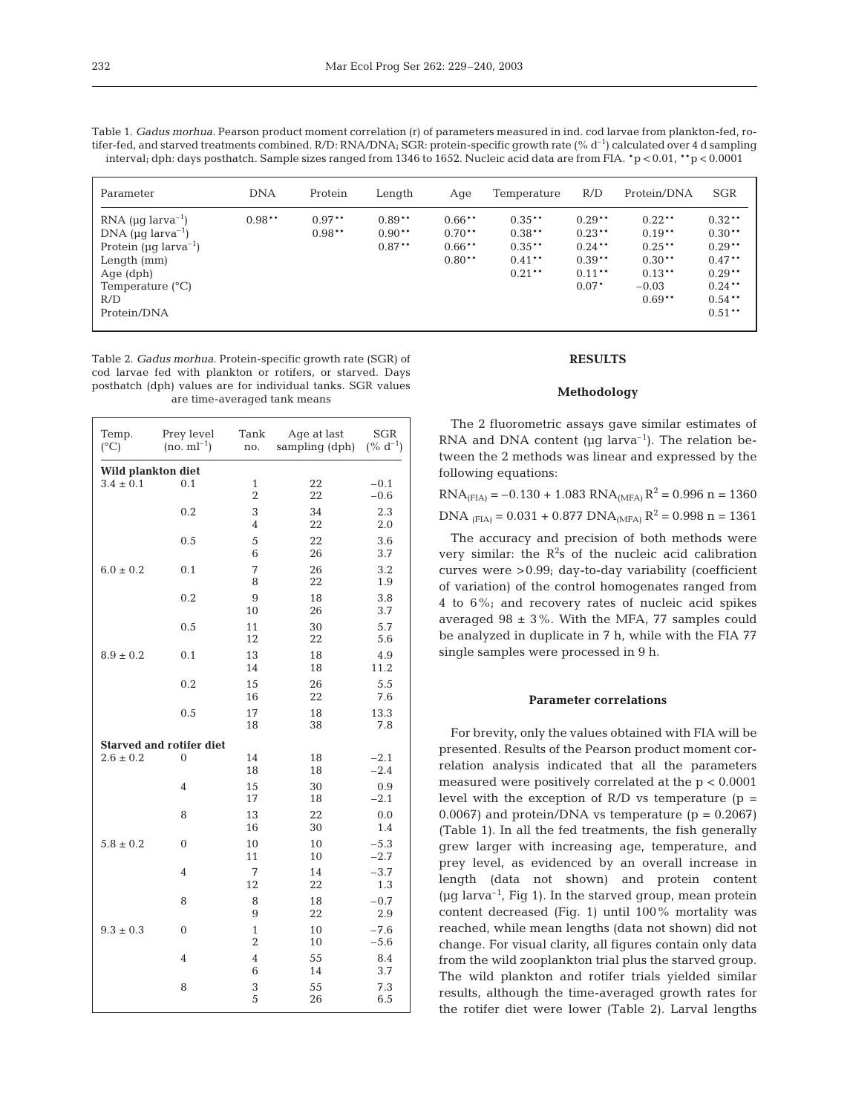| Table 1. Gadus morhua. Pearson product moment correlation (r) of parameters measured in ind. cod larvae from plankton-fed, ro-         |
|----------------------------------------------------------------------------------------------------------------------------------------|
| tifer-fed, and starved treatments combined. R/D: RNA/DNA; SGR: protein-specific growth rate $(\% d^{-1})$ calculated over 4 d sampling |
| interval; dph: days posthatch. Sample sizes ranged from 1346 to 1652. Nucleic acid data are from FIA. $*p < 0.01$ , $*p < 0.0001$      |

| Parameter                                                                                                                                                                                              | <b>DNA</b> | Protein              | Length                            | Aqe                                          | Temperature                                               | R/D                                                                   | Protein/DNA                                                                       | <b>SGR</b>                                                                                      |
|--------------------------------------------------------------------------------------------------------------------------------------------------------------------------------------------------------|------------|----------------------|-----------------------------------|----------------------------------------------|-----------------------------------------------------------|-----------------------------------------------------------------------|-----------------------------------------------------------------------------------|-------------------------------------------------------------------------------------------------|
| RNA ( $\mu$ g larva <sup>-1</sup> )<br>DNA ( $\mu$ g larva <sup>-1</sup> )<br>Protein ( $\mu$ g larva <sup>-1</sup> )<br>Length $(mm)$<br>Age (dph)<br>Temperature $(^{\circ}C)$<br>R/D<br>Protein/DNA | $0.98**$   | $0.97**$<br>$0.98**$ | $0.89**$<br>$0.90**$<br>$0.87***$ | $0.66**$<br>$0.70**$<br>$0.66**$<br>$0.80**$ | $0.35**$<br>$0.38***$<br>$0.35**$<br>$0.41**$<br>$0.21**$ | $0.29**$<br>$0.23**$<br>$0.24***$<br>$0.39**$<br>$0.11***$<br>$0.07*$ | $0.22**$<br>$0.19**$<br>$0.25***$<br>$0.30**$<br>$0.13***$<br>$-0.03$<br>$0.69**$ | $0.32**$<br>$0.30**$<br>$0.29**$<br>$0.47**$<br>$0.29**$<br>$0.24***$<br>$0.54***$<br>$0.51***$ |

Table 2. *Gadus morhua*. Protein-specific growth rate (SGR) of cod larvae fed with plankton or rotifers, or starved. Days posthatch (dph) values are for individual tanks. SGR values are time-averaged tank means

| Temp.<br>$(^{\circ}C)$ | Prey level<br>$(no. m l^{-1})$  | Tank<br>no.                    | Age at last<br>sampling (dph) | <b>SGR</b><br>$(\% d^{-1})$ |  |  |  |
|------------------------|---------------------------------|--------------------------------|-------------------------------|-----------------------------|--|--|--|
| Wild plankton diet     |                                 |                                |                               |                             |  |  |  |
| $3.4 \pm 0.1$          | 0.1                             | $\mathbf{1}$                   | 22                            | $-0.1$                      |  |  |  |
|                        |                                 | $\overline{2}$                 | 22                            | $-0.6$                      |  |  |  |
|                        | 0.2                             | 3                              | 34                            | 2.3                         |  |  |  |
|                        |                                 | $\overline{4}$                 | 22                            | 2.0                         |  |  |  |
|                        | 0.5                             | 5<br>6                         | 22<br>26                      | 3.6<br>3.7                  |  |  |  |
| $6.0 \pm 0.2$          | 0.1                             | 7                              | 26                            | 3.2                         |  |  |  |
|                        |                                 | 8                              | 22                            | 1.9                         |  |  |  |
|                        | 0.2                             | 9                              | 18                            | 3.8                         |  |  |  |
|                        |                                 | 10                             | 26                            | 3.7                         |  |  |  |
|                        | 0.5                             | 11                             | 30                            | 5.7                         |  |  |  |
|                        |                                 | 12                             | 22                            | 5.6                         |  |  |  |
| $8.9 \pm 0.2$          | 0.1                             | 13                             | 18                            | 4.9                         |  |  |  |
|                        |                                 | 14                             | 18                            | 11.2                        |  |  |  |
|                        | 0.2                             | 15                             | 26                            | 5.5                         |  |  |  |
|                        |                                 | 16                             | 22                            | 7.6                         |  |  |  |
|                        | 0.5                             | 17                             | 18                            | 13.3                        |  |  |  |
|                        |                                 | 18                             | 38                            | 7.8                         |  |  |  |
|                        | <b>Starved and rotifer diet</b> |                                |                               |                             |  |  |  |
| $2.6 \pm 0.2$          | $\Omega$                        | 14<br>18                       | 18<br>18                      | $-2.1$<br>$-2.4$            |  |  |  |
|                        | $\overline{4}$                  | 15                             | 30                            | 0.9                         |  |  |  |
|                        |                                 | 17                             | 18                            | $-2.1$                      |  |  |  |
|                        | 8                               | 13                             | 22                            | 0.0                         |  |  |  |
|                        |                                 | 16                             | 30                            | 1.4                         |  |  |  |
| $5.8 \pm 0.2$          | $\theta$                        | 10                             | 10                            | $-5.3$                      |  |  |  |
|                        |                                 | 11                             | 10                            | $-2.7$                      |  |  |  |
|                        | $\overline{4}$                  | 7                              | 14                            | $-3.7$                      |  |  |  |
|                        |                                 | 12                             | 22                            | 1.3                         |  |  |  |
|                        | 8                               | 8                              | 18                            | $-0.7$                      |  |  |  |
|                        |                                 | 9                              | 22                            | 2.9                         |  |  |  |
| $9.3 \pm 0.3$          | $\theta$                        | $\mathbf{1}$<br>$\overline{2}$ | 10                            | $-7.6$<br>$-5.6$            |  |  |  |
|                        | $\overline{4}$                  | $\overline{4}$                 | 10<br>55                      | 8.4                         |  |  |  |
|                        |                                 | 6                              | 14                            | 3.7                         |  |  |  |
|                        | 8                               | 3                              | 55                            | 7.3                         |  |  |  |
|                        |                                 | 5                              | 26                            | 6.5                         |  |  |  |
|                        |                                 |                                |                               |                             |  |  |  |

## **RESULTS**

#### **Methodology**

The 2 fluorometric assays gave similar estimates of RNA and DNA content ( $\mu$ g larva<sup>-1</sup>). The relation between the 2 methods was linear and expressed by the following equations:

| $RNA(FIA) = -0.130 + 1.083 RNA(MFA) R2 = 0.996 n = 1360$                                   |  |  |
|--------------------------------------------------------------------------------------------|--|--|
| DNA $_{\text{(FIA)}}$ = 0.031 + 0.877 DNA <sub>(MFA)</sub> R <sup>2</sup> = 0.998 n = 1361 |  |  |

The accuracy and precision of both methods were very similar: the  $R^2$ s of the nucleic acid calibration curves were >0.99; day-to-day variability (coefficient of variation) of the control homogenates ranged from 4 to 6%; and recovery rates of nucleic acid spikes averaged 98  $\pm$  3%. With the MFA, 77 samples could be analyzed in duplicate in 7 h, while with the FIA 77 single samples were processed in 9 h.

### **Parameter correlations**

For brevity, only the values obtained with FIA will be presented. Results of the Pearson product moment correlation analysis indicated that all the parameters measured were positively correlated at the p < 0.0001 level with the exception of  $R/D$  vs temperature ( $p =$ 0.0067) and protein/DNA vs temperature  $(p = 0.2067)$ (Table 1). In all the fed treatments, the fish generally grew larger with increasing age, temperature, and prey level, as evidenced by an overall increase in length (data not shown) and protein content ( $\mu$ g larva<sup>-1</sup>, Fig 1). In the starved group, mean protein content decreased (Fig. 1) until 100% mortality was reached, while mean lengths (data not shown) did not change. For visual clarity, all figures contain only data from the wild zooplankton trial plus the starved group. The wild plankton and rotifer trials yielded similar results, although the time-averaged growth rates for the rotifer diet were lower (Table 2). Larval lengths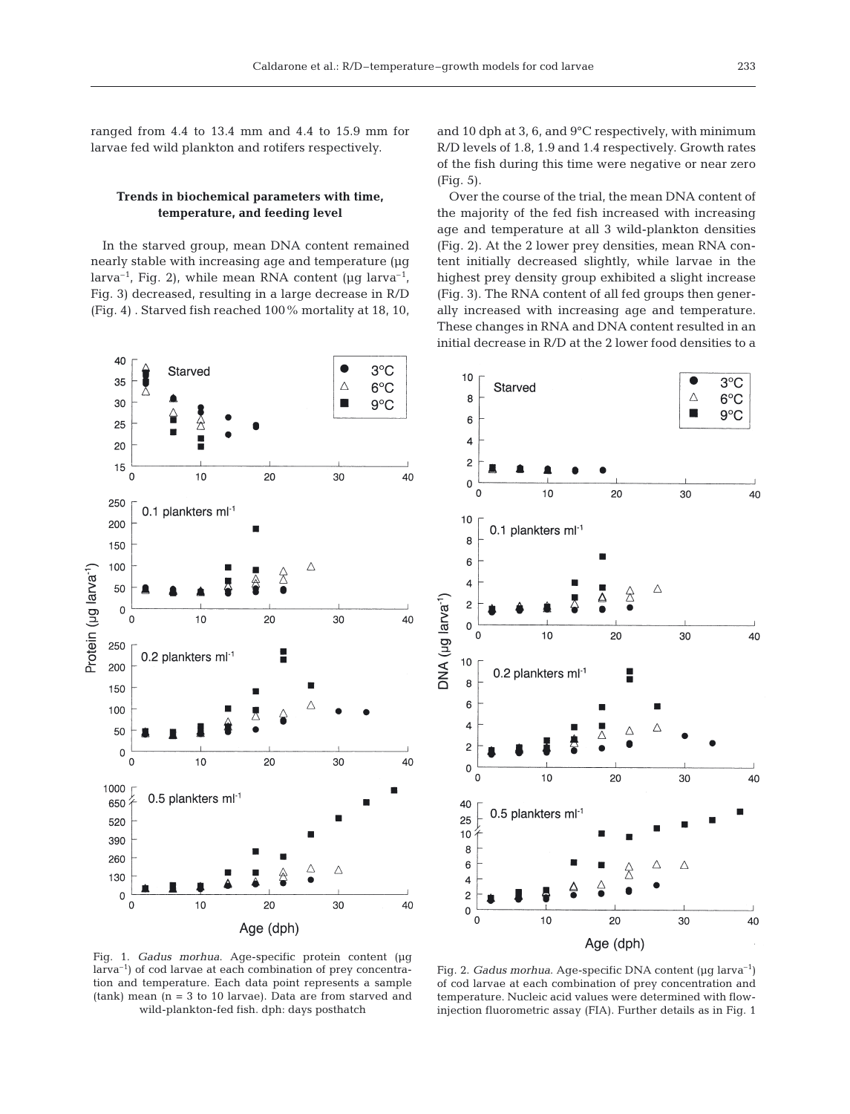ranged from 4.4 to 13.4 mm and 4.4 to 15.9 mm for larvae fed wild plankton and rotifers respectively.

## **Trends in biochemical parameters with time, temperature, and feeding level**

In the starved group, mean DNA content remained nearly stable with increasing age and temperature (µg larva<sup>-1</sup>, Fig. 2), while mean RNA content ( $\mu$ g larva<sup>-1</sup>, Fig. 3) decreased, resulting in a large decrease in R/D (Fig. 4) . Starved fish reached 100% mortality at 18, 10,

and 10 dph at 3, 6, and 9°C respectively, with minimum R/D levels of 1.8, 1.9 and 1.4 respectively. Growth rates of the fish during this time were negative or near zero (Fig. 5).

Over the course of the trial, the mean DNA content of the majority of the fed fish increased with increasing age and temperature at all 3 wild-plankton densities (Fig. 2). At the 2 lower prey densities, mean RNA content initially decreased slightly, while larvae in the highest prey density group exhibited a slight increase (Fig. 3). The RNA content of all fed groups then generally increased with increasing age and temperature. These changes in RNA and DNA content resulted in an initial decrease in R/D at the 2 lower food densities to a



larva–1) of cod larvae at each combination of prey concentration and temperature. Each data point represents a sample (tank) mean (n = 3 to 10 larvae). Data are from starved and wild-plankton-fed fish. dph: days posthatch



Fig. 2. *Gadus morhua*. Age-specific DNA content (µg larva–1) of cod larvae at each combination of prey concentration and temperature. Nucleic acid values were determined with flowinjection fluorometric assay (FIA). Further details as in Fig. 1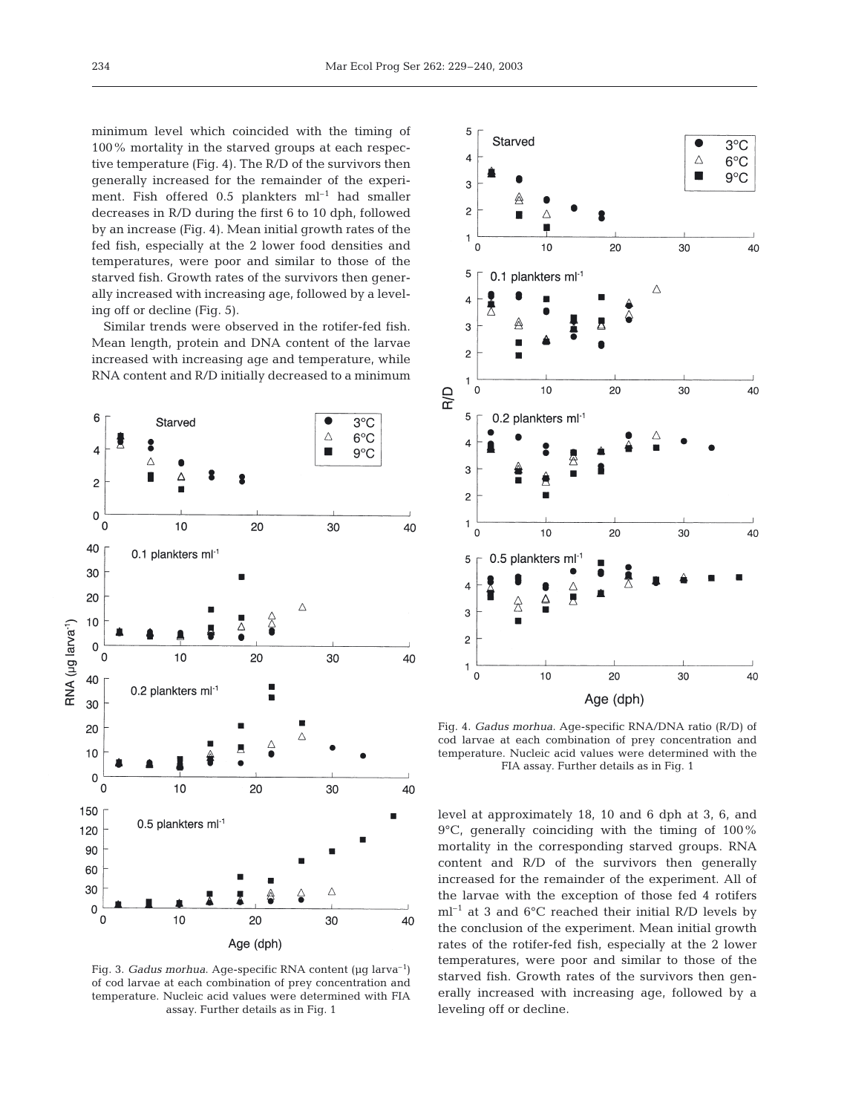minimum level which coincided with the timing of 100% mortality in the starved groups at each respective temperature (Fig. 4). The R/D of the survivors then generally increased for the remainder of the experiment. Fish offered  $0.5$  plankters  $ml^{-1}$  had smaller decreases in R/D during the first 6 to 10 dph, followed by an increase (Fig. 4). Mean initial growth rates of the fed fish, especially at the 2 lower food densities and temperatures, were poor and similar to those of the starved fish. Growth rates of the survivors then generally increased with increasing age, followed by a leveling off or decline (Fig. 5).

Similar trends were observed in the rotifer-fed fish. Mean length, protein and DNA content of the larvae increased with increasing age and temperature, while RNA content and R/D initially decreased to a minimum



Fig. 3. *Gadus morhua*. Age-specific RNA content (µg larva<sup>-1</sup>) of cod larvae at each combination of prey concentration and temperature. Nucleic acid values were determined with FIA assay. Further details as in Fig. 1



Fig. 4. *Gadus morhua*. Age-specific RNA/DNA ratio (R/D) of cod larvae at each combination of prey concentration and temperature. Nucleic acid values were determined with the FIA assay. Further details as in Fig. 1

level at approximately 18, 10 and 6 dph at 3, 6, and 9°C, generally coinciding with the timing of 100% mortality in the corresponding starved groups. RNA content and R/D of the survivors then generally increased for the remainder of the experiment. All of the larvae with the exception of those fed 4 rotifers  $ml^{-1}$  at 3 and 6°C reached their initial R/D levels by the conclusion of the experiment. Mean initial growth rates of the rotifer-fed fish, especially at the 2 lower temperatures, were poor and similar to those of the starved fish. Growth rates of the survivors then generally increased with increasing age, followed by a leveling off or decline.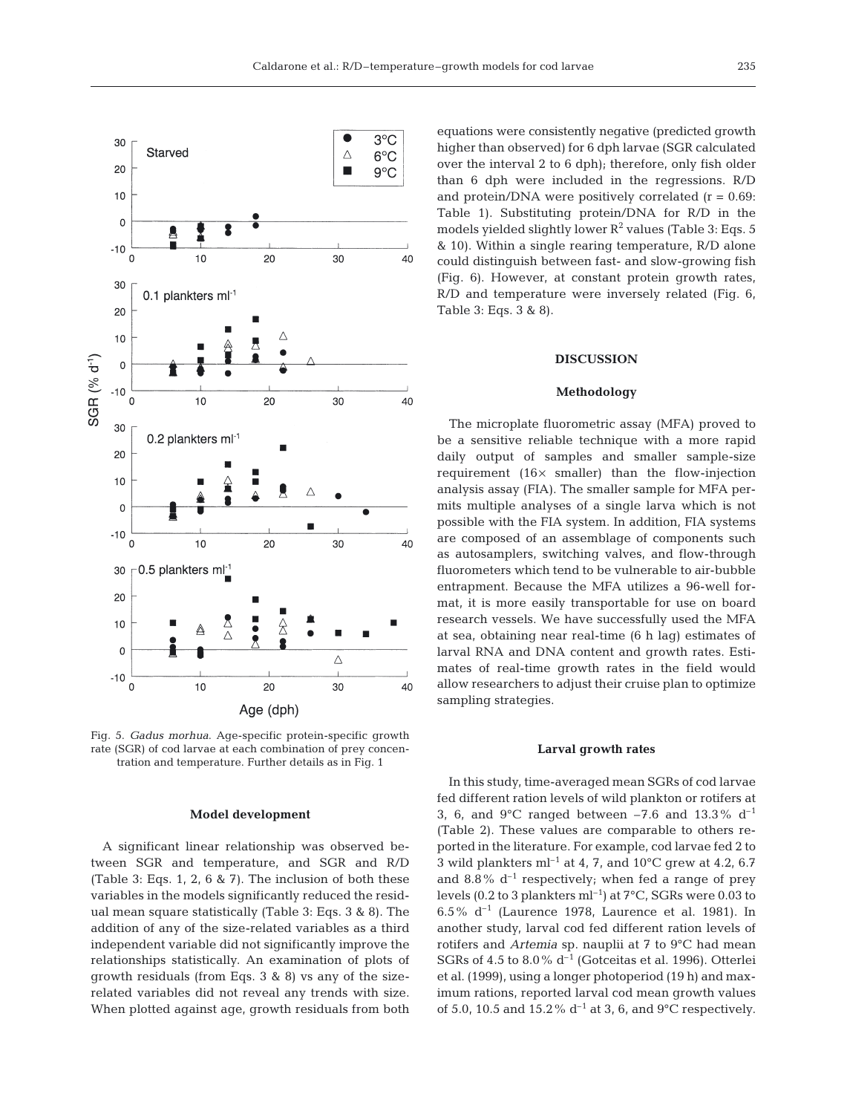

Fig. 5. *Gadus morhua*. Age-specific protein-specific growth rate (SGR) of cod larvae at each combination of prey concentration and temperature. Further details as in Fig. 1

#### **Model development**

A significant linear relationship was observed between SGR and temperature, and SGR and R/D (Table 3: Eqs. 1, 2, 6 & 7). The inclusion of both these variables in the models significantly reduced the residual mean square statistically (Table 3: Eqs. 3 & 8). The addition of any of the size-related variables as a third independent variable did not significantly improve the relationships statistically. An examination of plots of growth residuals (from Eqs. 3 & 8) vs any of the sizerelated variables did not reveal any trends with size. When plotted against age, growth residuals from both

equations were consistently negative (predicted growth higher than observed) for 6 dph larvae (SGR calculated over the interval 2 to 6 dph); therefore, only fish older than 6 dph were included in the regressions. R/D and protein/DNA were positively correlated  $(r = 0.69$ : Table 1). Substituting protein/DNA for R/D in the models yielded slightly lower  $R^2$  values (Table 3: Eqs. 5) & 10). Within a single rearing temperature, R/D alone could distinguish between fast- and slow-growing fish (Fig. 6). However, at constant protein growth rates, R/D and temperature were inversely related (Fig. 6, Table 3: Eqs. 3 & 8).

#### **DISCUSSION**

#### **Methodology**

The microplate fluorometric assay (MFA) proved to be a sensitive reliable technique with a more rapid daily output of samples and smaller sample-size requirement (16× smaller) than the flow-injection analysis assay (FIA). The smaller sample for MFA permits multiple analyses of a single larva which is not possible with the FIA system. In addition, FIA systems are composed of an assemblage of components such as autosamplers, switching valves, and flow-through fluorometers which tend to be vulnerable to air-bubble entrapment. Because the MFA utilizes a 96-well format, it is more easily transportable for use on board research vessels. We have successfully used the MFA at sea, obtaining near real-time (6 h lag) estimates of larval RNA and DNA content and growth rates. Estimates of real-time growth rates in the field would allow researchers to adjust their cruise plan to optimize sampling strategies.

#### **Larval growth rates**

In this study, time-averaged mean SGRs of cod larvae fed different ration levels of wild plankton or rotifers at 3, 6, and 9 $^{\circ}$ C ranged between -7.6 and 13.3% d<sup>-1</sup> (Table 2). These values are comparable to others reported in the literature. For example, cod larvae fed 2 to 3 wild plankters  $ml^{-1}$  at 4, 7, and 10°C grew at 4.2, 6.7 and 8.8%  $d^{-1}$  respectively; when fed a range of prey levels (0.2 to 3 plankters  $ml^{-1}$ ) at  $7^{\circ}$ C, SGRs were 0.03 to 6.5%  $d^{-1}$  (Laurence 1978, Laurence et al. 1981). In another study, larval cod fed different ration levels of rotifers and *Artemia* sp. nauplii at 7 to 9°C had mean SGRs of 4.5 to 8.0%  $d^{-1}$  (Gotceitas et al. 1996). Otterlei et al. (1999), using a longer photoperiod (19 h) and maximum rations, reported larval cod mean growth values of 5.0, 10.5 and 15.2%  $d^{-1}$  at 3, 6, and 9°C respectively.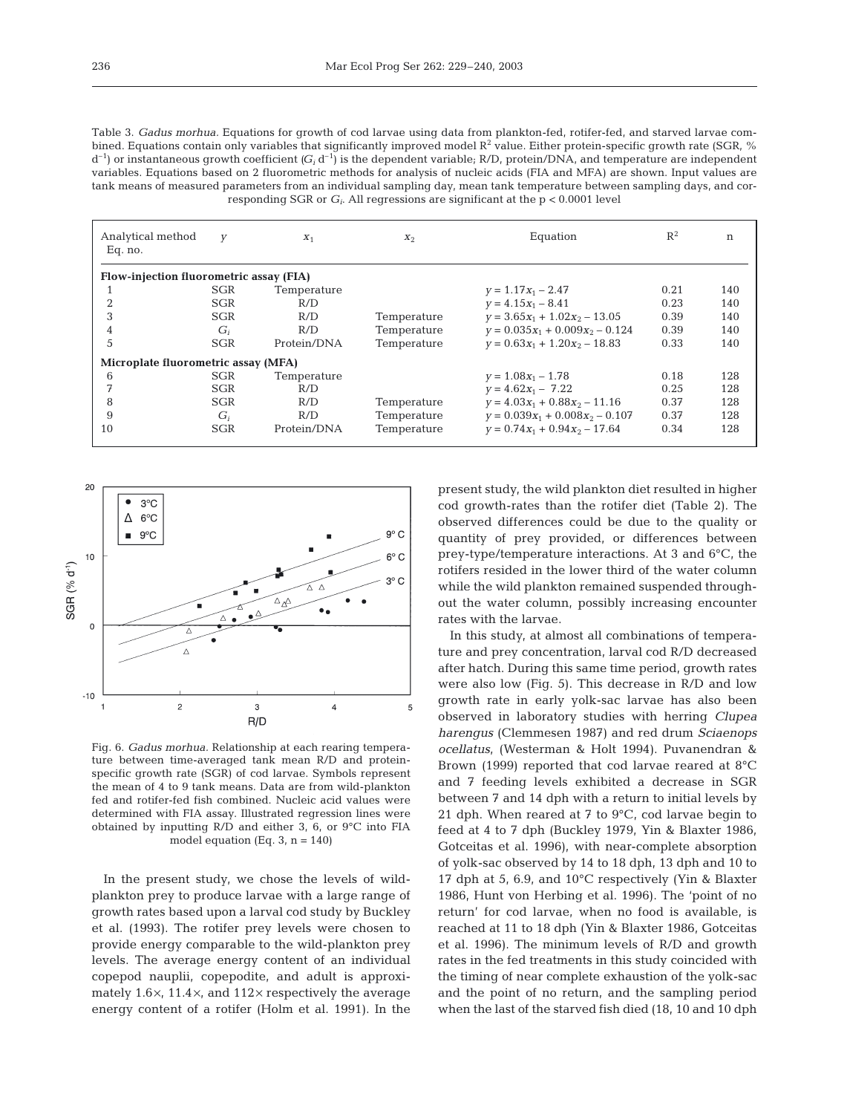Table 3. *Gadus morhua.* Equations for growth of cod larvae using data from plankton-fed, rotifer-fed, and starved larvae combined. Equations contain only variables that significantly improved model  $R^2$  value. Either protein-specific growth rate (SGR, %)  $d^{-1}$ ) or instantaneous growth coefficient  $(G_i d^{-1})$  is the dependent variable; R/D, protein/DNA, and temperature are independent variables. Equations based on 2 fluorometric methods for analysis of nucleic acids (FIA and MFA) are shown. Input values are tank means of measured parameters from an individual sampling day, mean tank temperature between sampling days, and corresponding SGR or  $G_i$ . All regressions are significant at the  $p < 0.0001$  level

| Analytical method<br>Eq. no.            | У          | $X_1$       | $X_2$       | Equation                          | $R^2$ | n   |  |
|-----------------------------------------|------------|-------------|-------------|-----------------------------------|-------|-----|--|
| Flow-injection fluorometric assay (FIA) |            |             |             |                                   |       |     |  |
|                                         | <b>SGR</b> | Temperature |             | $y = 1.17x_1 - 2.47$              | 0.21  | 140 |  |
| $\overline{2}$                          | SGR        | R/D         |             | $v = 4.15x_1 - 8.41$              | 0.23  | 140 |  |
| 3                                       | <b>SGR</b> | R/D         | Temperature | $v = 3.65x_1 + 1.02x_2 - 13.05$   | 0.39  | 140 |  |
| 4                                       | $G_i$      | R/D         | Temperature | $y = 0.035x_1 + 0.009x_2 - 0.124$ | 0.39  | 140 |  |
| 5                                       | <b>SGR</b> | Protein/DNA | Temperature | $v = 0.63x_1 + 1.20x_2 - 18.83$   | 0.33  | 140 |  |
| Microplate fluorometric assay (MFA)     |            |             |             |                                   |       |     |  |
| 6                                       | <b>SGR</b> | Temperature |             | $v = 1.08x_1 - 1.78$              | 0.18  | 128 |  |
| 7                                       | <b>SGR</b> | R/D         |             | $y = 4.62x_1 - 7.22$              | 0.25  | 128 |  |
| 8                                       | <b>SGR</b> | R/D         | Temperature | $y = 4.03x_1 + 0.88x_2 - 11.16$   | 0.37  | 128 |  |
| 9                                       | $G_i$      | R/D         | Temperature | $y = 0.039x_1 + 0.008x_2 - 0.107$ | 0.37  | 128 |  |
| 10                                      | <b>SGR</b> | Protein/DNA | Temperature | $y = 0.74x_1 + 0.94x_2 - 17.64$   | 0.34  | 128 |  |



Fig. 6. *Gadus morhua.* Relationship at each rearing temperature between time-averaged tank mean R/D and proteinspecific growth rate (SGR) of cod larvae. Symbols represent the mean of 4 to 9 tank means. Data are from wild-plankton fed and rotifer-fed fish combined. Nucleic acid values were determined with FIA assay. Illustrated regression lines were obtained by inputting R/D and either 3, 6, or 9°C into FIA model equation (Eq. 3,  $n = 140$ )

In the present study, we chose the levels of wildplankton prey to produce larvae with a large range of growth rates based upon a larval cod study by Buckley et al. (1993). The rotifer prey levels were chosen to provide energy comparable to the wild-plankton prey levels. The average energy content of an individual copepod nauplii, copepodite, and adult is approximately  $1.6 \times$ ,  $11.4 \times$ , and  $112 \times$  respectively the average energy content of a rotifer (Holm et al. 1991). In the present study, the wild plankton diet resulted in higher cod growth-rates than the rotifer diet (Table 2). The observed differences could be due to the quality or quantity of prey provided, or differences between prey-type/temperature interactions. At 3 and 6°C, the rotifers resided in the lower third of the water column while the wild plankton remained suspended throughout the water column, possibly increasing encounter rates with the larvae.

In this study, at almost all combinations of temperature and prey concentration, larval cod R/D decreased after hatch. During this same time period, growth rates were also low (Fig. 5). This decrease in R/D and low growth rate in early yolk-sac larvae has also been observed in laboratory studies with herring *Clupea harengus* (Clemmesen 1987) and red drum *Sciaenops ocellatus*, (Westerman & Holt 1994). Puvanendran & Brown (1999) reported that cod larvae reared at 8°C and 7 feeding levels exhibited a decrease in SGR between 7 and 14 dph with a return to initial levels by 21 dph. When reared at 7 to 9°C, cod larvae begin to feed at 4 to 7 dph (Buckley 1979, Yin & Blaxter 1986, Gotceitas et al. 1996), with near-complete absorption of yolk-sac observed by 14 to 18 dph, 13 dph and 10 to 17 dph at 5, 6.9, and 10°C respectively (Yin & Blaxter 1986, Hunt von Herbing et al. 1996). The 'point of no return' for cod larvae, when no food is available, is reached at 11 to 18 dph (Yin & Blaxter 1986, Gotceitas et al. 1996). The minimum levels of R/D and growth rates in the fed treatments in this study coincided with the timing of near complete exhaustion of the yolk-sac and the point of no return, and the sampling period when the last of the starved fish died (18, 10 and 10 dph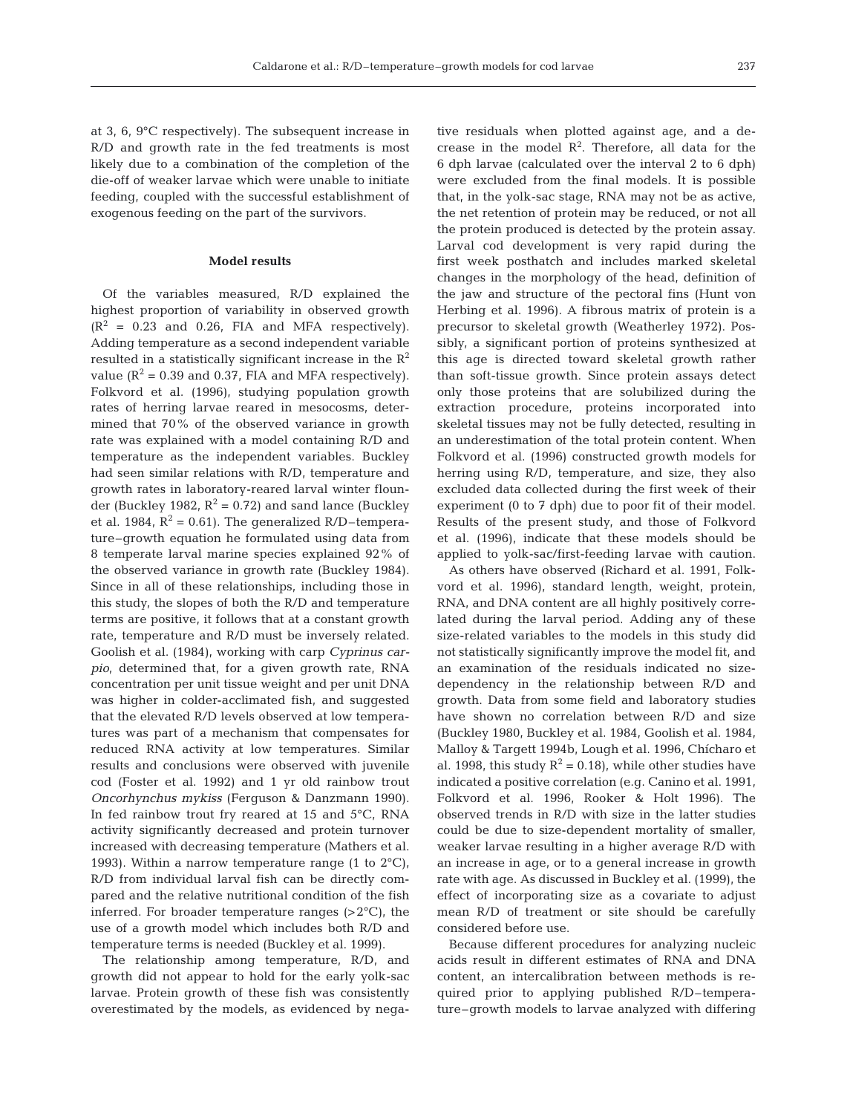at 3, 6, 9°C respectively). The subsequent increase in R/D and growth rate in the fed treatments is most likely due to a combination of the completion of the die-off of weaker larvae which were unable to initiate feeding, coupled with the successful establishment of exogenous feeding on the part of the survivors.

## **Model results**

Of the variables measured, R/D explained the highest proportion of variability in observed growth  $(R<sup>2</sup> = 0.23$  and 0.26, FIA and MFA respectively). Adding temperature as a second independent variable resulted in a statistically significant increase in the  $\mathbb{R}^2$ value  $(R^2 = 0.39$  and 0.37, FIA and MFA respectively). Folkvord et al. (1996), studying population growth rates of herring larvae reared in mesocosms, determined that 70% of the observed variance in growth rate was explained with a model containing R/D and temperature as the independent variables. Buckley had seen similar relations with R/D, temperature and growth rates in laboratory-reared larval winter flounder (Buckley 1982,  $R^2 = 0.72$ ) and sand lance (Buckley et al. 1984,  $R^2 = 0.61$ ). The generalized R/D–temperature–growth equation he formulated using data from 8 temperate larval marine species explained 92% of the observed variance in growth rate (Buckley 1984). Since in all of these relationships, including those in this study, the slopes of both the R/D and temperature terms are positive, it follows that at a constant growth rate, temperature and R/D must be inversely related. Goolish et al. (1984), working with carp *Cyprinus carpio*, determined that, for a given growth rate, RNA concentration per unit tissue weight and per unit DNA was higher in colder-acclimated fish, and suggested that the elevated R/D levels observed at low temperatures was part of a mechanism that compensates for reduced RNA activity at low temperatures. Similar results and conclusions were observed with juvenile cod (Foster et al. 1992) and 1 yr old rainbow trout *Oncorhynchus mykiss* (Ferguson & Danzmann 1990). In fed rainbow trout fry reared at 15 and 5°C, RNA activity significantly decreased and protein turnover increased with decreasing temperature (Mathers et al. 1993). Within a narrow temperature range (1 to  $2^{\circ}$ C), R/D from individual larval fish can be directly compared and the relative nutritional condition of the fish inferred. For broader temperature ranges  $(>2^{\circ}C)$ , the use of a growth model which includes both R/D and temperature terms is needed (Buckley et al. 1999).

The relationship among temperature, R/D, and growth did not appear to hold for the early yolk-sac larvae. Protein growth of these fish was consistently overestimated by the models, as evidenced by nega-

tive residuals when plotted against age, and a decrease in the model  $\mathbb{R}^2$ . Therefore, all data for the 6 dph larvae (calculated over the interval 2 to 6 dph) were excluded from the final models. It is possible that, in the yolk-sac stage, RNA may not be as active, the net retention of protein may be reduced, or not all the protein produced is detected by the protein assay. Larval cod development is very rapid during the first week posthatch and includes marked skeletal changes in the morphology of the head, definition of the jaw and structure of the pectoral fins (Hunt von Herbing et al. 1996). A fibrous matrix of protein is a precursor to skeletal growth (Weatherley 1972). Possibly, a significant portion of proteins synthesized at this age is directed toward skeletal growth rather than soft-tissue growth. Since protein assays detect only those proteins that are solubilized during the extraction procedure, proteins incorporated into skeletal tissues may not be fully detected, resulting in an underestimation of the total protein content. When Folkvord et al. (1996) constructed growth models for herring using R/D, temperature, and size, they also excluded data collected during the first week of their experiment (0 to 7 dph) due to poor fit of their model. Results of the present study, and those of Folkvord et al. (1996), indicate that these models should be applied to yolk-sac/first-feeding larvae with caution.

As others have observed (Richard et al. 1991, Folkvord et al. 1996), standard length, weight, protein, RNA, and DNA content are all highly positively correlated during the larval period. Adding any of these size-related variables to the models in this study did not statistically significantly improve the model fit, and an examination of the residuals indicated no sizedependency in the relationship between R/D and growth. Data from some field and laboratory studies have shown no correlation between R/D and size (Buckley 1980, Buckley et al. 1984, Goolish et al. 1984, Malloy & Targett 1994b, Lough et al. 1996, Chícharo et al. 1998, this study  $R^2 = 0.18$ , while other studies have indicated a positive correlation (e.g. Canino et al. 1991, Folkvord et al. 1996, Rooker & Holt 1996). The observed trends in R/D with size in the latter studies could be due to size-dependent mortality of smaller, weaker larvae resulting in a higher average R/D with an increase in age, or to a general increase in growth rate with age. As discussed in Buckley et al. (1999), the effect of incorporating size as a covariate to adjust mean R/D of treatment or site should be carefully considered before use.

Because different procedures for analyzing nucleic acids result in different estimates of RNA and DNA content, an intercalibration between methods is required prior to applying published R/D–temperature–growth models to larvae analyzed with differing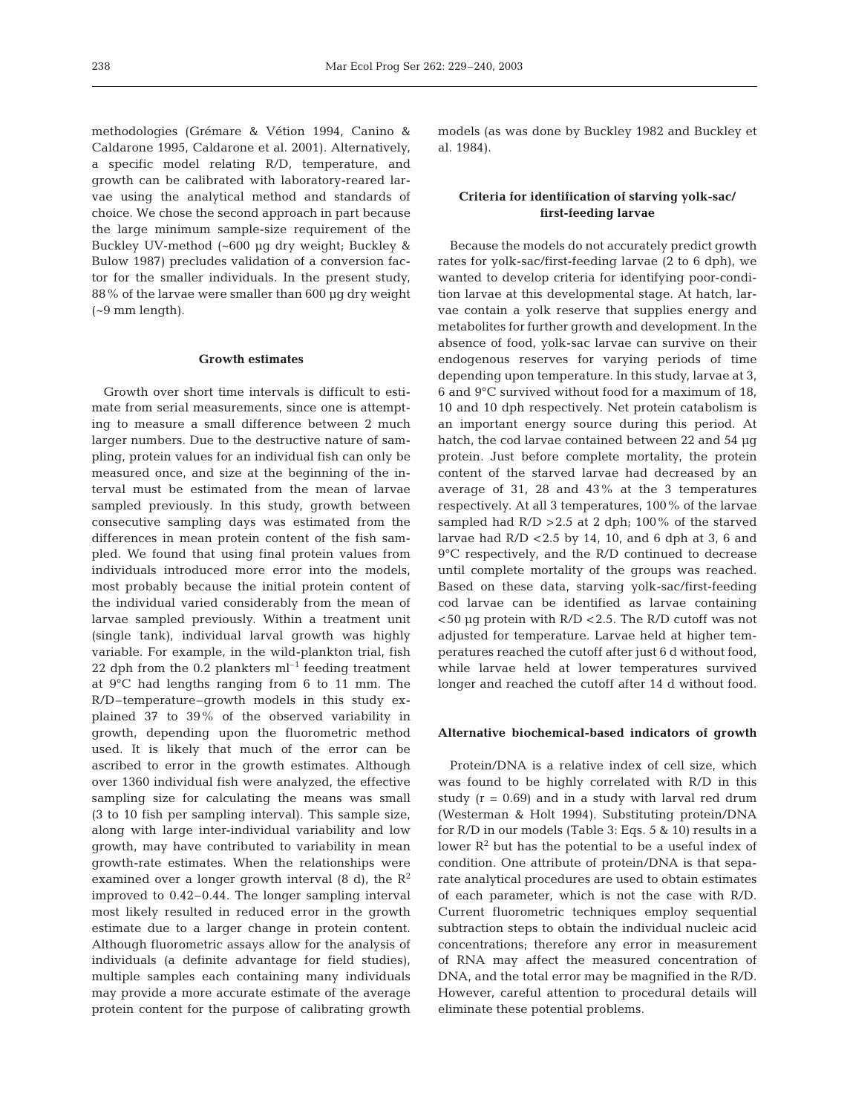methodologies (Grémare & Vétion 1994, Canino & Caldarone 1995, Caldarone et al. 2001). Alternatively, a specific model relating R/D, temperature, and growth can be calibrated with laboratory-reared larvae using the analytical method and standards of choice. We chose the second approach in part because the large minimum sample-size requirement of the Buckley UV-method (~600 µg dry weight; Buckley & Bulow 1987) precludes validation of a conversion factor for the smaller individuals. In the present study, 88% of the larvae were smaller than 600 µg dry weight  $(-9$  mm length).

#### **Growth estimates**

Growth over short time intervals is difficult to estimate from serial measurements, since one is attempting to measure a small difference between 2 much larger numbers. Due to the destructive nature of sampling, protein values for an individual fish can only be measured once, and size at the beginning of the interval must be estimated from the mean of larvae sampled previously. In this study, growth between consecutive sampling days was estimated from the differences in mean protein content of the fish sampled. We found that using final protein values from individuals introduced more error into the models, most probably because the initial protein content of the individual varied considerably from the mean of larvae sampled previously. Within a treatment unit (single tank), individual larval growth was highly variable. For example, in the wild-plankton trial, fish 22 dph from the 0.2 plankters  $ml^{-1}$  feeding treatment at 9°C had lengths ranging from 6 to 11 mm. The R/D–temperature–growth models in this study explained 37 to 39% of the observed variability in growth, depending upon the fluorometric method used. It is likely that much of the error can be ascribed to error in the growth estimates. Although over 1360 individual fish were analyzed, the effective sampling size for calculating the means was small (3 to 10 fish per sampling interval). This sample size, along with large inter-individual variability and low growth, may have contributed to variability in mean growth-rate estimates. When the relationships were examined over a longer growth interval (8 d), the  $\mathbb{R}^2$ improved to 0.42–0.44. The longer sampling interval most likely resulted in reduced error in the growth estimate due to a larger change in protein content. Although fluorometric assays allow for the analysis of individuals (a definite advantage for field studies), multiple samples each containing many individuals may provide a more accurate estimate of the average protein content for the purpose of calibrating growth

models (as was done by Buckley 1982 and Buckley et al. 1984).

# **Criteria for identification of starving yolk-sac/ first-feeding larvae**

Because the models do not accurately predict growth rates for yolk-sac/first-feeding larvae (2 to 6 dph), we wanted to develop criteria for identifying poor-condition larvae at this developmental stage. At hatch, larvae contain a yolk reserve that supplies energy and metabolites for further growth and development. In the absence of food, yolk-sac larvae can survive on their endogenous reserves for varying periods of time depending upon temperature. In this study, larvae at 3, 6 and 9°C survived without food for a maximum of 18, 10 and 10 dph respectively. Net protein catabolism is an important energy source during this period. At hatch, the cod larvae contained between 22 and 54 µg protein. Just before complete mortality, the protein content of the starved larvae had decreased by an average of 31, 28 and 43% at the 3 temperatures respectively. At all 3 temperatures, 100% of the larvae sampled had  $R/D > 2.5$  at 2 dph; 100% of the starved larvae had  $R/D < 2.5$  by 14, 10, and 6 dph at 3, 6 and 9°C respectively, and the R/D continued to decrease until complete mortality of the groups was reached. Based on these data, starving yolk-sac/first-feeding cod larvae can be identified as larvae containing <50 µg protein with R/D <2.5. The R/D cutoff was not adjusted for temperature. Larvae held at higher temperatures reached the cutoff after just 6 d without food, while larvae held at lower temperatures survived longer and reached the cutoff after 14 d without food.

#### **Alternative biochemical-based indicators of growth**

Protein/DNA is a relative index of cell size, which was found to be highly correlated with R/D in this study  $(r = 0.69)$  and in a study with larval red drum (Westerman & Holt 1994). Substituting protein/DNA for R/D in our models (Table 3: Eqs. 5 & 10) results in a lower  $\mathbb{R}^2$  but has the potential to be a useful index of condition. One attribute of protein/DNA is that separate analytical procedures are used to obtain estimates of each parameter, which is not the case with R/D. Current fluorometric techniques employ sequential subtraction steps to obtain the individual nucleic acid concentrations; therefore any error in measurement of RNA may affect the measured concentration of DNA, and the total error may be magnified in the R/D. However, careful attention to procedural details will eliminate these potential problems.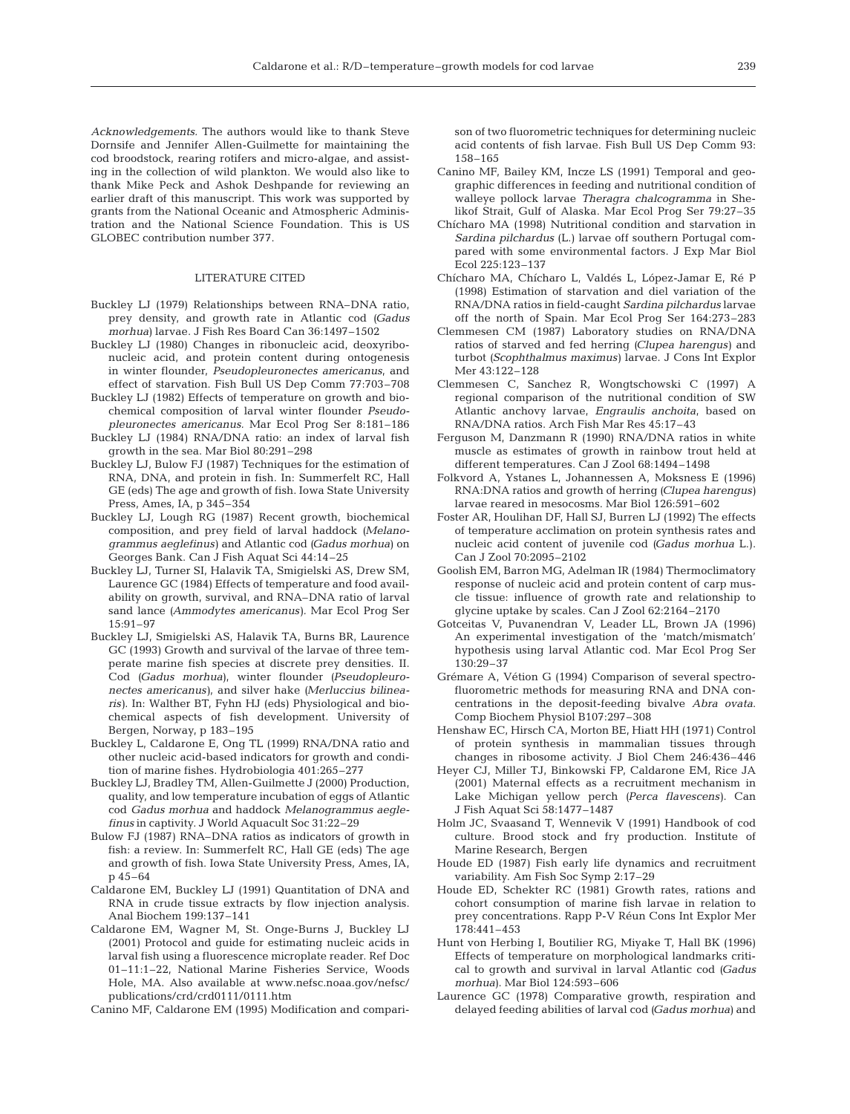*Acknowledgements.* The authors would like to thank Steve Dornsife and Jennifer Allen-Guilmette for maintaining the cod broodstock, rearing rotifers and micro-algae, and assisting in the collection of wild plankton. We would also like to thank Mike Peck and Ashok Deshpande for reviewing an earlier draft of this manuscript. This work was supported by grants from the National Oceanic and Atmospheric Administration and the National Science Foundation. This is US GLOBEC contribution number 377.

# LITERATURE CITED

- Buckley LJ (1979) Relationships between RNA–DNA ratio, prey density, and growth rate in Atlantic cod *(Gadus morhua)* larvae. J Fish Res Board Can 36:1497–1502
- Buckley LJ (1980) Changes in ribonucleic acid, deoxyribonucleic acid, and protein content during ontogenesis in winter flounder, *Pseudopleuronectes americanus*, and effect of starvation. Fish Bull US Dep Comm 77:703–708
- Buckley LJ (1982) Effects of temperature on growth and biochemical composition of larval winter flounder *Pseudopleuronectes americanus.* Mar Ecol Prog Ser 8:181–186
- Buckley LJ (1984) RNA/DNA ratio: an index of larval fish growth in the sea. Mar Biol 80:291–298
- Buckley LJ, Bulow FJ (1987) Techniques for the estimation of RNA, DNA, and protein in fish. In: Summerfelt RC, Hall GE (eds) The age and growth of fish. Iowa State University Press, Ames, IA, p 345–354
- Buckley LJ, Lough RG (1987) Recent growth, biochemical composition, and prey field of larval haddock *(Melanogrammus aeglefinus)* and Atlantic cod *(Gadus morhua)* on Georges Bank. Can J Fish Aquat Sci 44:14–25
- Buckley LJ, Turner SI, Halavik TA, Smigielski AS, Drew SM, Laurence GC (1984) Effects of temperature and food availability on growth, survival, and RNA–DNA ratio of larval sand lance *(Ammodytes americanus).* Mar Ecol Prog Ser 15:91–97
- Buckley LJ, Smigielski AS, Halavik TA, Burns BR, Laurence GC (1993) Growth and survival of the larvae of three temperate marine fish species at discrete prey densities. II. Cod *(Gadus morhua)*, winter flounder *(Pseudopleuronectes americanus)*, and silver hake *(Merluccius bilinearis)*. In: Walther BT, Fyhn HJ (eds) Physiological and biochemical aspects of fish development. University of Bergen, Norway, p 183–195
- Buckley L, Caldarone E, Ong TL (1999) RNA/DNA ratio and other nucleic acid-based indicators for growth and condition of marine fishes. Hydrobiologia 401:265–277
- Buckley LJ, Bradley TM, Allen-Guilmette J (2000) Production, quality, and low temperature incubation of eggs of Atlantic cod *Gadus morhua* and haddock *Melanogrammus aeglefinus* in captivity. J World Aquacult Soc 31:22–29
- Bulow FJ (1987) RNA–DNA ratios as indicators of growth in fish: a review. In: Summerfelt RC, Hall GE (eds) The age and growth of fish. Iowa State University Press, Ames, IA, p 45–64
- Caldarone EM, Buckley LJ (1991) Quantitation of DNA and RNA in crude tissue extracts by flow injection analysis. Anal Biochem 199:137–141
- Caldarone EM, Wagner M, St. Onge-Burns J, Buckley LJ (2001) Protocol and guide for estimating nucleic acids in larval fish using a fluorescence microplate reader. Ref Doc 01–11:1–22, National Marine Fisheries Service, Woods Hole, MA. Also available at www.nefsc.noaa.gov/nefsc/ publications/crd/crd0111/0111.htm

Canino MF, Caldarone EM (1995) Modification and compari-

son of two fluorometric techniques for determining nucleic acid contents of fish larvae. Fish Bull US Dep Comm 93: 158–165

- Canino MF, Bailey KM, Incze LS (1991) Temporal and geographic differences in feeding and nutritional condition of walleye pollock larvae *Theragra chalcogramma* in Shelikof Strait, Gulf of Alaska. Mar Ecol Prog Ser 79:27–35
- Chícharo MA (1998) Nutritional condition and starvation in *Sardina pilchardus* (L.) larvae off southern Portugal compared with some environmental factors. J Exp Mar Biol Ecol 225:123–137
- Chícharo MA, Chícharo L, Valdés L, López-Jamar E, Ré P (1998) Estimation of starvation and diel variation of the RNA/DNA ratios in field-caught *Sardina pilchardus* larvae off the north of Spain. Mar Ecol Prog Ser 164:273–283
- Clemmesen CM (1987) Laboratory studies on RNA/DNA ratios of starved and fed herring *(Clupea harengus)* and turbot *(Scophthalmus maximus)* larvae. J Cons Int Explor Mer 43:122–128
- Clemmesen C, Sanchez R, Wongtschowski C (1997) A regional comparison of the nutritional condition of SW Atlantic anchovy larvae, *Engraulis anchoita*, based on RNA/DNA ratios. Arch Fish Mar Res 45:17–43
- Ferguson M, Danzmann R (1990) RNA/DNA ratios in white muscle as estimates of growth in rainbow trout held at different temperatures. Can J Zool 68:1494–1498
- Folkvord A, Ystanes L, Johannessen A, Moksness E (1996) RNA:DNA ratios and growth of herring *(Clupea harengus)* larvae reared in mesocosms. Mar Biol 126:591–602
- Foster AR, Houlihan DF, Hall SJ, Burren LJ (1992) The effects of temperature acclimation on protein synthesis rates and nucleic acid content of juvenile cod *(Gadus morhua* L.). Can J Zool 70:2095–2102
- Goolish EM, Barron MG, Adelman IR (1984) Thermoclimatory response of nucleic acid and protein content of carp muscle tissue: influence of growth rate and relationship to glycine uptake by scales. Can J Zool 62:2164–2170
- Gotceitas V, Puvanendran V, Leader LL, Brown JA (1996) An experimental investigation of the 'match/mismatch' hypothesis using larval Atlantic cod. Mar Ecol Prog Ser 130:29–37
- Grémare A, Vétion G (1994) Comparison of several spectrofluorometric methods for measuring RNA and DNA concentrations in the deposit-feeding bivalve *Abra ovata*. Comp Biochem Physiol B107:297–308
- Henshaw EC, Hirsch CA, Morton BE, Hiatt HH (1971) Control of protein synthesis in mammalian tissues through changes in ribosome activity. J Biol Chem 246:436–446
- Heyer CJ, Miller TJ, Binkowski FP, Caldarone EM, Rice JA (2001) Maternal effects as a recruitment mechanism in Lake Michigan yellow perch *(Perca flavescens)*. Can J Fish Aquat Sci 58:1477–1487
- Holm JC, Svaasand T, Wennevik V (1991) Handbook of cod culture. Brood stock and fry production. Institute of Marine Research, Bergen
- Houde ED (1987) Fish early life dynamics and recruitment variability. Am Fish Soc Symp 2:17–29
- Houde ED, Schekter RC (1981) Growth rates, rations and cohort consumption of marine fish larvae in relation to prey concentrations. Rapp P-V Réun Cons Int Explor Mer 178:441–453
- Hunt von Herbing I, Boutilier RG, Miyake T, Hall BK (1996) Effects of temperature on morphological landmarks critical to growth and survival in larval Atlantic cod *(Gadus morhua)*. Mar Biol 124:593–606
- Laurence GC (1978) Comparative growth, respiration and delayed feeding abilities of larval cod *(Gadus morhua)* and